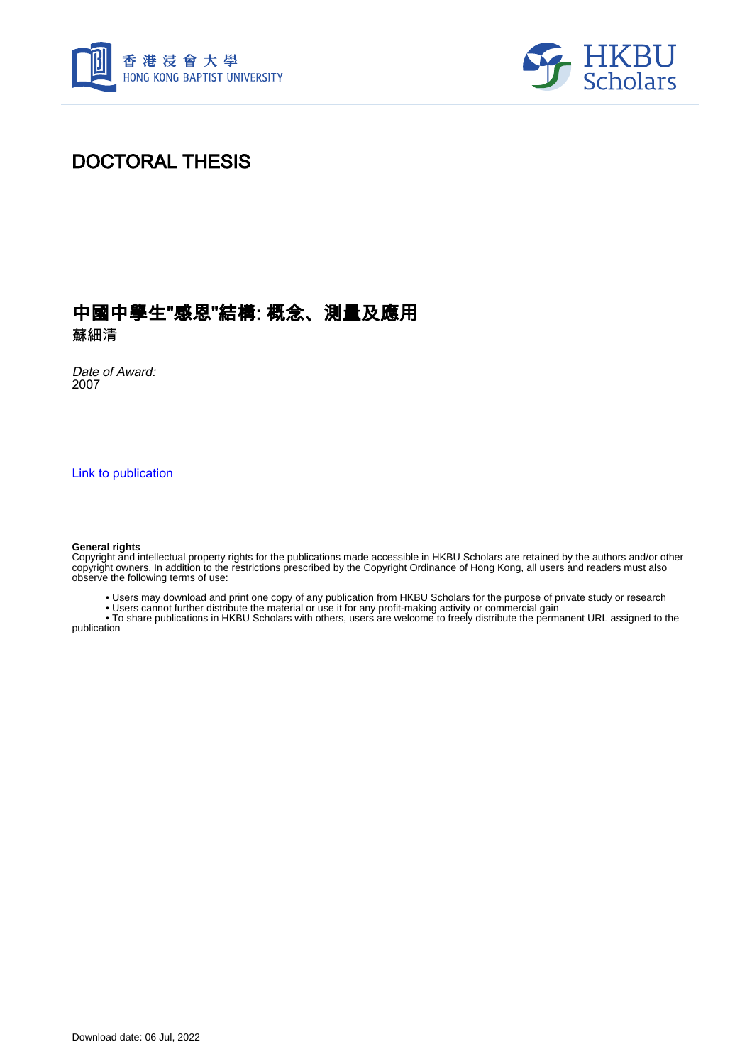



# DOCTORAL THESIS

# 中國中學生"感恩"結構: 概念、測量及應用

蘇細清

Date of Award: 2007

[Link to publication](https://scholars.hkbu.edu.hk/en/studentTheses/f8c480b6-7e5c-4be4-9ec9-50b62b8f1c27)

#### **General rights**

Copyright and intellectual property rights for the publications made accessible in HKBU Scholars are retained by the authors and/or other copyright owners. In addition to the restrictions prescribed by the Copyright Ordinance of Hong Kong, all users and readers must also observe the following terms of use:

• Users may download and print one copy of any publication from HKBU Scholars for the purpose of private study or research

• Users cannot further distribute the material or use it for any profit-making activity or commercial gain

 • To share publications in HKBU Scholars with others, users are welcome to freely distribute the permanent URL assigned to the publication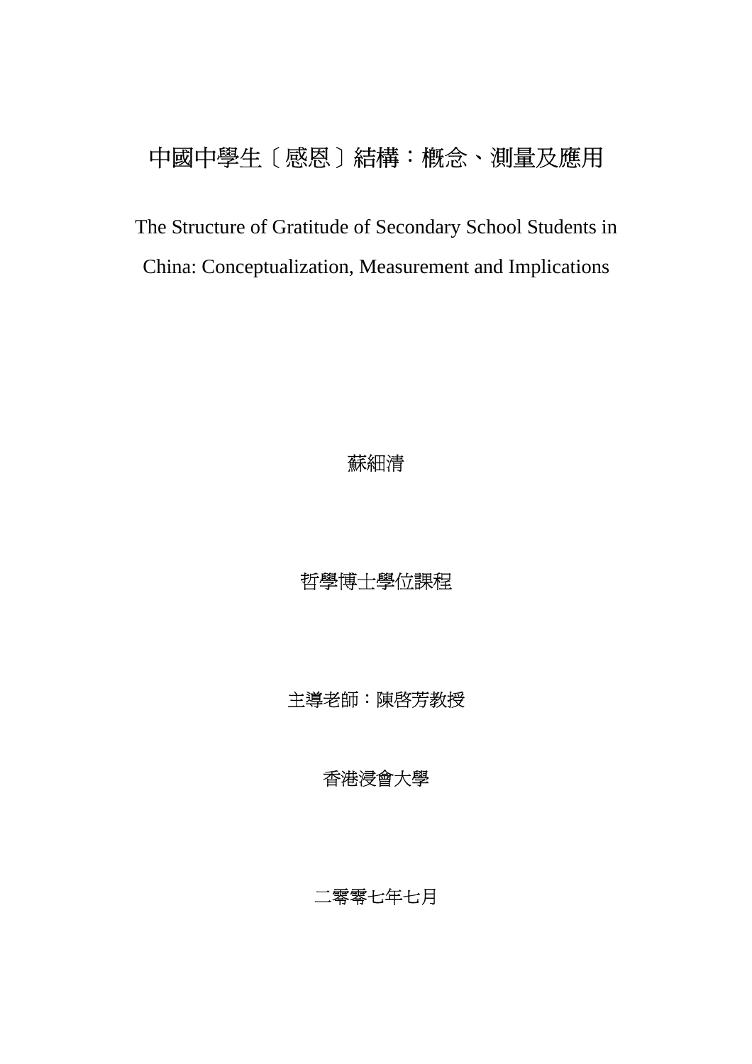# 中國中學生[感恩]結構:概念、測量及應用

The Structure of Gratitude of Secondary School Students in China: Conceptualization, Measurement and Implications

## 蘇細清

哲學博士學位課程

主導老師:陳啟芳教授

# 香港浸會大學

#### 二零零七年七月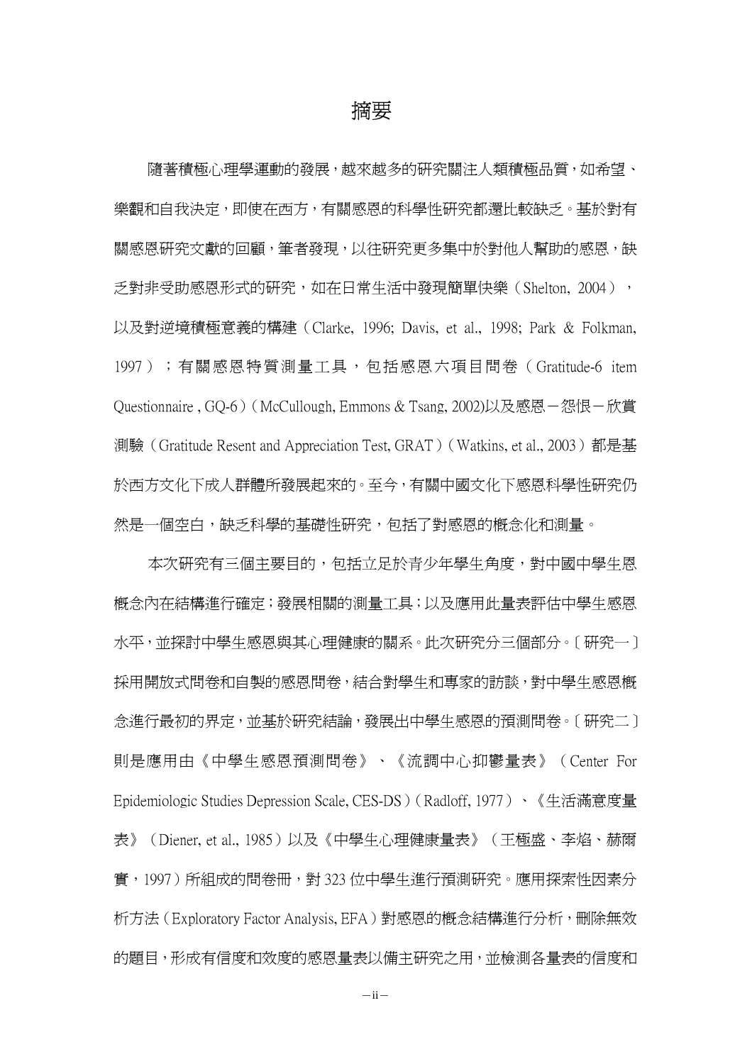#### 摘要

隨著積極心理學運動的發展,越來越多的研究關注人類積極品質,如希望、 樂觀和自我決定,即使在西方,有關感恩的科學性研究都還比較缺乏。基於對有 關感恩研究文獻的回顧,筆者發現,以往研究更多集中於對他人幫助的感恩,缺 乏對非受助感恩形式的研究,如在日常生活中發現簡單快樂(Shelton, 2004), 以及對逆境積極意義的構建(Clarke, 1996; Davis, et al., 1998; Park & Folkman, 1997);有關感恩特質測量工具,包括感恩六項目問卷(Gratitude-6 item Questionnaire, GQ-6) (McCullough, Emmons & Tsang, 2002)以及感恩- 怨恨-欣賞 測驗 (Gratitude Resent and Appreciation Test, GRAT) (Watkins, et al., 2003) 都是基 於西方文化下成人群體所發展起來的。至今,有關中國文化下感恩科學性研究仍 然是一個空白,缺乏科學的基礎性研究,包括了對感恩的概念化和測量。

本次研究有三個主要目的,包括立足於青少年學生角度,對中國中學生恩 概念內在結構進行確定;發展相關的測量工具;以及應用此量表評估中學生感恩 水平,並探討中學生感恩與其心理健康的關系。此次研究分三個部分。[研究一] 採用開放式問卷和自製的感恩問卷,結合對學生和專家的訪談,對中學生感恩概 念進行最初的界定,並基於研究結論,發展出中學生感恩的預測問卷。[研究二] 則是應用由《中學生感恩預測問卷》、《流調中心抑鬱量表》(Center For Epidemiologic Studies Depression Scale, CES-DS)(Radloff, 1977)、《生活滿意度量 表》(Diener, et al., 1985)以及《中學生心理健康量表》(王極盛、李焰、赫爾 實,1997)所組成的問卷冊,對 323 位中學生進行預測研究。應用探索性因素分 析方法 (Exploratory Factor Analysis, EFA) 對感恩的概念結構進行分析,刪除無效 的題目,形成有信度和效度的感恩量表以備主研究之用,並檢測各量表的信度和

 $-ii-$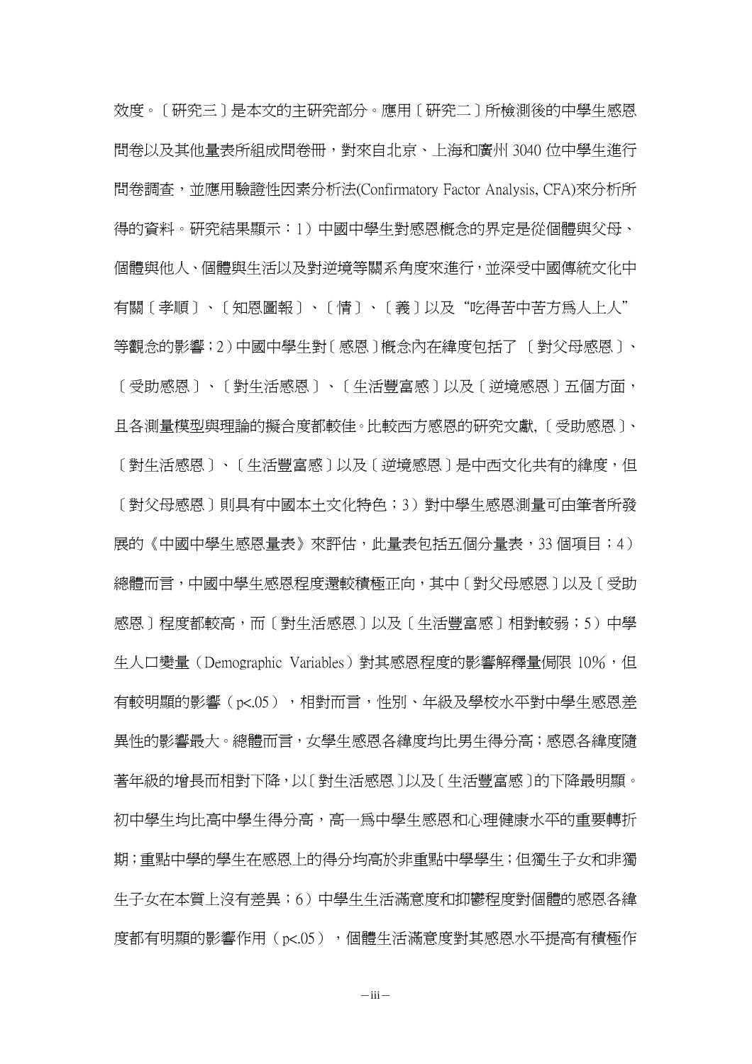效度。[研究三]是本文的主研究部分。應用[研究二]所檢測後的中學生感恩 問卷以及其他量表所組成問卷冊,對來自北京、上海和廣州 3040 位中學生進行 問卷調查,並應用驗證性因素分析法(Confirmatory Factor Analysis, CFA)來分析所 得的資料。研究結果顯示:1)中國中學生對感恩概念的界定是從個體與父母、 個體與他人、個體與生活以及對逆境等關系角度來進行,並深受中國傳統文化中 有關[孝順]、[知恩圖報]、[情]、[義]以及"吃得苦中苦方為人上人" 等觀念的影響;2)中國中學生對[感恩]概念內在緯度包括了 [對父母感恩]、 [受助感恩]、[對生活感恩]、[生活豐富感]以及[逆境感恩]五個方面, 且各測量模型與理論的擬合度都較佳。比較西方感恩的研究文獻, [受助感恩]、 [對生活感恩]、[生活豐富感]以及[逆境感恩]是中西文化共有的緯度,但 [對父母感恩]則具有中國本土文化特色;3)對中學生感恩測量可由筆者所發 展的《中國中學生感恩量表》來評估,此量表包括五個分量表,33個項目;4) 總體而言,中國中學生感恩程度還較積極正向,其中[對父母感恩]以及[受助 感恩]程度都較高,而[對生活感恩]以及[生活豐富感]相對較弱;5)中學 生人口變量 (Demographic Variables) 對其感恩程度的影響解釋量侷限 10%,但 有較明顯的影響(p<.05),相對而言,性別、年級及學校水平對中學生感恩差 異性的影響最大。總體而言,女學生感恩各緯度均比男生得分高;感恩各緯度隨 著年級的增長而相對下降,以[對生活感恩]以及[生活豐富感]的下降最明顯。 初中學生均比高中學生得分高,高一為中學生感恩和心理健康水平的重要轉折 期;重點中學的學生在感恩上的得分均高於非重點中學學生;但獨生子女和非獨 生子女在本質上沒有差異;6)中學生生活滿意度和抑鬱程度對個體的感恩各緯 度都有明顯的影響作用(p<.05),個體生活滿意度對其感恩水平提高有積極作

 $-iii-$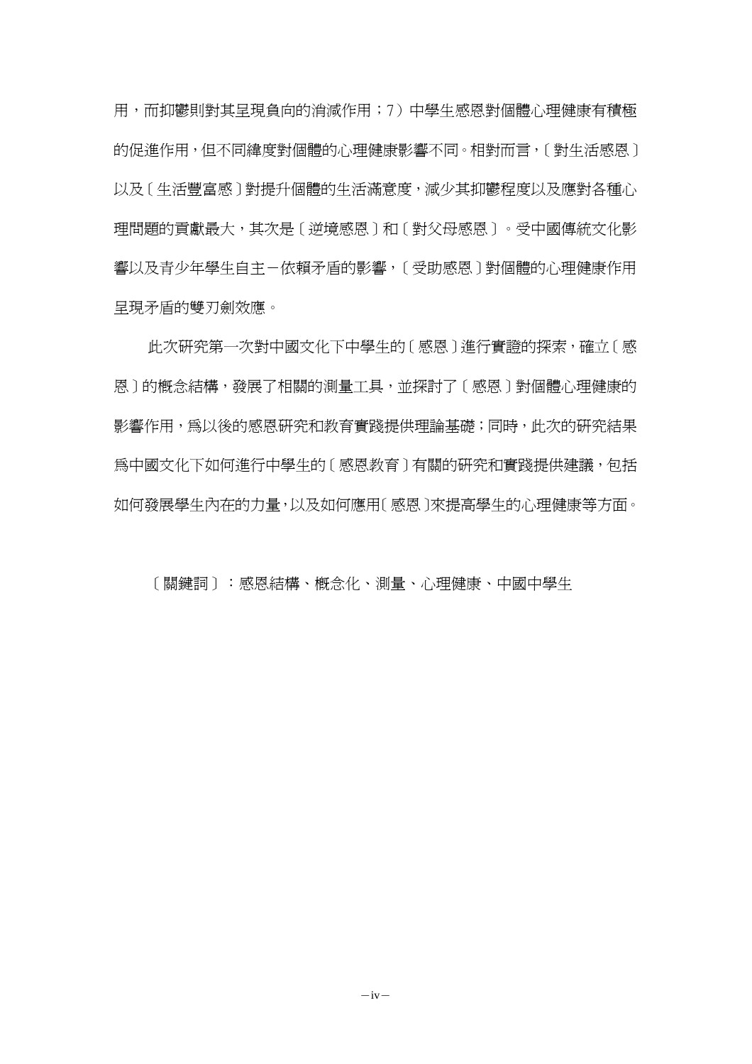用,而抑鬱則對其呈現負向的消減作用;7)中學生感恩對個體心理健康有積極 的促進作用,但不同緯度對個體的心理健康影響不同。相對而言,[對生活感恩] 以及 「生活豐富感」對提升個體的生活滿意度,減少其抑鬱程度以及應對各種心 理問題的貢獻最大,其次是[逆境感恩]和[對父母感恩]。受中國傳統文化影 響以及青少年學生自主-依賴矛盾的影響,[受助感恩]對個體的心理健康作用 呈現矛盾的雙刃劍效應。

此次研究第一次對中國文化下中學生的[感恩]進行實證的探索,確立「感 恩]的概念結構,發展了相關的測量工具,並探討了[感恩]對個體心理健康的 影響作用,爲以後的感恩研究和教育實踐提供理論基礎;同時,此次的研究結果 為中國文化下如何淮行中學生的「感恩教育]有關的研究和實踐提供建議,包括 如何發展學生內在的力量,以及如何應用[感恩]來提高學生的心理健康等方面。

[關鍵詞]:感恩結構、概念化、測量、心理健康、中國中學生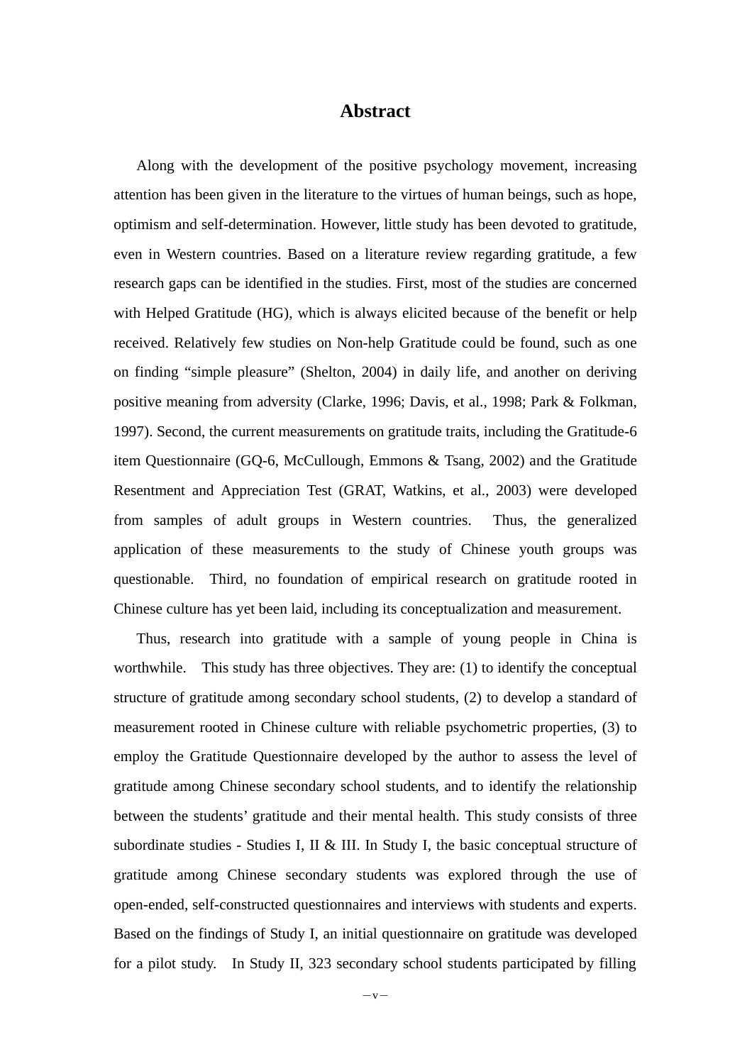#### **Abstract**

Along with the development of the positive psychology movement, increasing attention has been given in the literature to the virtues of human beings, such as hope, optimism and self-determination. However, little study has been devoted to gratitude, even in Western countries. Based on a literature review regarding gratitude, a few research gaps can be identified in the studies. First, most of the studies are concerned with Helped Gratitude (HG), which is always elicited because of the benefit or help received. Relatively few studies on Non-help Gratitude could be found, such as one on finding "simple pleasure" (Shelton, 2004) in daily life, and another on deriving positive meaning from adversity (Clarke, 1996; Davis, et al., 1998; Park & Folkman, 1997). Second, the current measurements on gratitude traits, including the Gratitude-6 item Questionnaire (GQ-6, McCullough, Emmons & Tsang, 2002) and the Gratitude Resentment and Appreciation Test (GRAT, Watkins, et al., 2003) were developed from samples of adult groups in Western countries. Thus, the generalized application of these measurements to the study of Chinese youth groups was questionable. Third, no foundation of empirical research on gratitude rooted in Chinese culture has yet been laid, including its conceptualization and measurement.

Thus, research into gratitude with a sample of young people in China is worthwhile. This study has three objectives. They are: (1) to identify the conceptual structure of gratitude among secondary school students, (2) to develop a standard of measurement rooted in Chinese culture with reliable psychometric properties, (3) to employ the Gratitude Questionnaire developed by the author to assess the level of gratitude among Chinese secondary school students, and to identify the relationship between the students' gratitude and their mental health. This study consists of three subordinate studies - Studies I, II & III. In Study I, the basic conceptual structure of gratitude among Chinese secondary students was explored through the use of open-ended, self-constructed questionnaires and interviews with students and experts. Based on the findings of Study I, an initial questionnaire on gratitude was developed for a pilot study. In Study II,  $323$  secondary school students participated by filling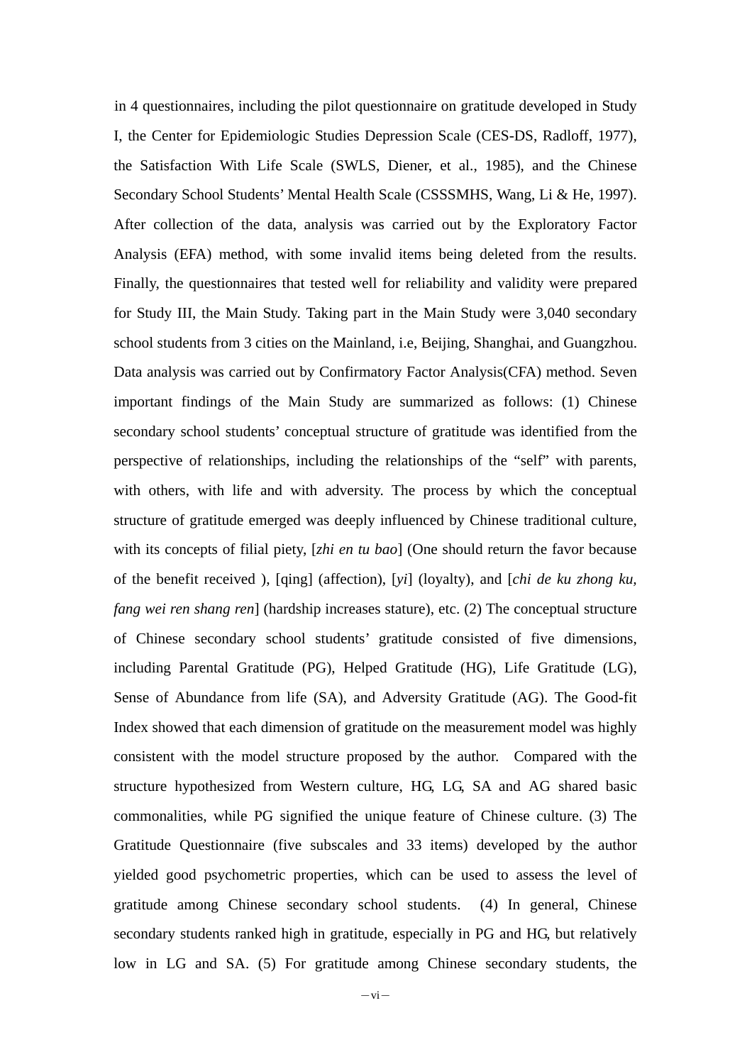In 4 questionnaires, including the pilot questionnaire on gratitude developed in Study I, the Center for Epidemiologic Studies Depression Scale (CES-DS, Radloff, 1977), the Satisfaction With Life Scale (SWLS, Diener, et al., 1985), and the Chinese Secondary School Students' Mental Health Scale (CSSSMHS, Wang, Li & He, 1997). After collection of the data, analysis was carried out by the Exploratory Factor Analysis (EFA) method, with some invalid items being deleted from the results. Finally, the questionnaires that tested well for reliability and validity were prepared for Study III, the Main Study. Taking part in the Main Study were 3,040 secondary school students from 3 cities on the Mainland, i.e, Beijing, Shanghai, and Guangzhou. Data analysis was carried out by Confirmatory Factor Analysis(CFA) method. Seven important findings of the Main Study are summarized as follows: (1) Chinese secondary school students' conceptual structure of gratitude was identified from the perspective of relationships, including the relationships of the "self" with parents, with others, with life and with adversity. The process by which the conceptual structure of gratitude emerged was deeply influenced by Chinese traditional culture, with its concepts of filial piety, [*zhi en tu bao*] (One should return the favor because of the benefit received ), [qing] (affection), [*yi*] (loyalty), and [*chi de ku zhong ku, fang wei ren shang ren*] (hardship increases stature), etc. (2) The conceptual structure of Chinese secondary school students' gratitude consisted of five dimensions, including Parental Gratitude (PG), Helped Gratitude (HG), Life Gratitude (LG), Sense of Abundance from life (SA), and Adversity Gratitude (AG). The Good-fit Index showed that each dimension of gratitude on the measurement model was highly consistent with the model structure proposed by the author. Compared with the structure hypothesized from Western culture, HG, LG, SA and AG shared basic commonalities, while PG signified the unique feature of Chinese culture. (3) The Gratitude Questionnaire (five subscales and 33 items) developed by the author yielded good psychometric properties, which can be used to assess the level of gratitude among Chinese secondary school students. (4) In general, Chinese secondary students ranked high in gratitude, especially in PG and HG, but relatively low in LG and SA. (5) For gratitude among Chinese secondary students, the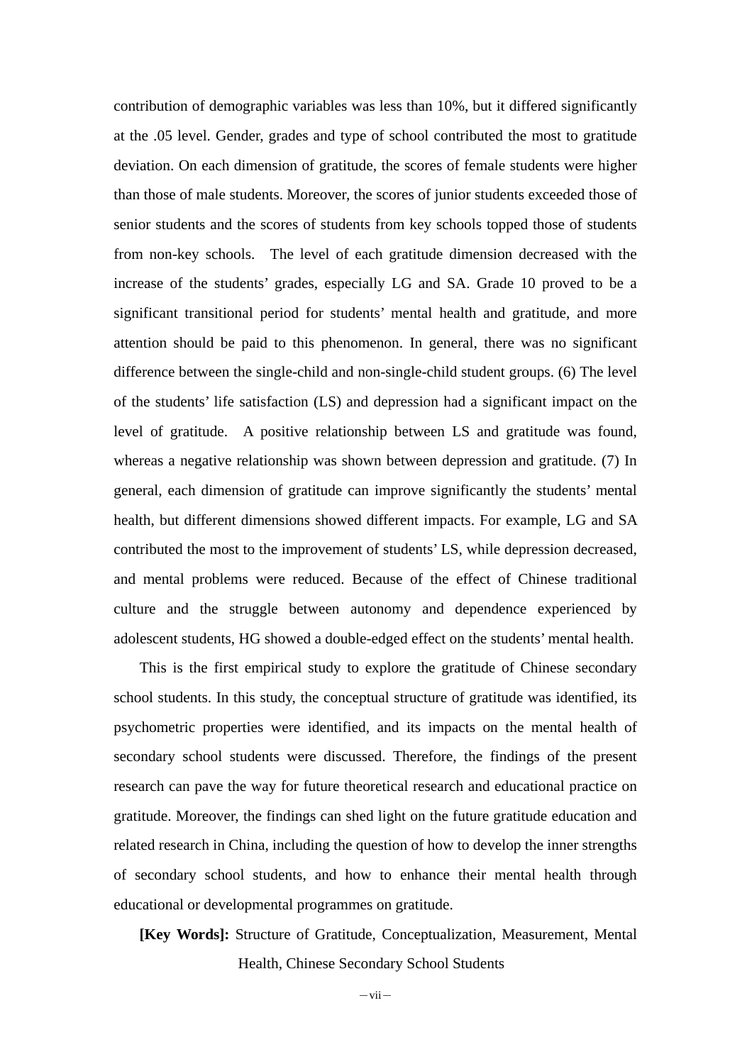contribution of demographic variables was less than 10%, but it differed significantly at the .05 level. Gender, grades and type of school contributed the most to gratitude deviation. On each dimension of gratitude, the scores of female students were higher than those of male students. Moreover, the scores of junior students exceeded those of senior students and the scores of students from key schools topped those of students from non-key schools. The level of each gratitude dimension decreased with the increase of the students' grades, especially LG and SA. Grade 10 proved to be a significant transitional period for students' mental health and gratitude, and more attention should be paid to this phenomenon. In general, there was no significant difference between the single-child and non-single-child student groups. (6) The level of the students' life satisfaction (LS) and depression had a significant impact on the level of gratitude. A positive relationship between LS and gratitude was found, whereas a negative relationship was shown between depression and gratitude. (7) In general, each dimension of gratitude can improve significantly the students' mental health, but different dimensions showed different impacts. For example, LG and SA contributed the most to the improvement of students' LS, while depression decreased, and mental problems were reduced. Because of the effect of Chinese traditional culture and the struggle between autonomy and dependence experienced by adolescent students, HG showed a double-edged effect on the students' mental health.

This is the first empirical study to explore the gratitude of Chinese secondary school students. In this study, the conceptual structure of gratitude was identified, its psychometric properties were identified, and its impacts on the mental health of secondary school students were discussed. Therefore, the findings of the present research can pave the way for future theoretical research and educational practice on gratitude. Moreover, the findings can shed light on the future gratitude education and related research in China, including the question of how to develop the inner strengths of secondary school students, and how to enhance their mental health through educational or developmental programmes on gratitude.

**[Key Words]:** Structure of Gratitude, Conceptualization, Measurement, Mental Health, Chinese Secondary School Students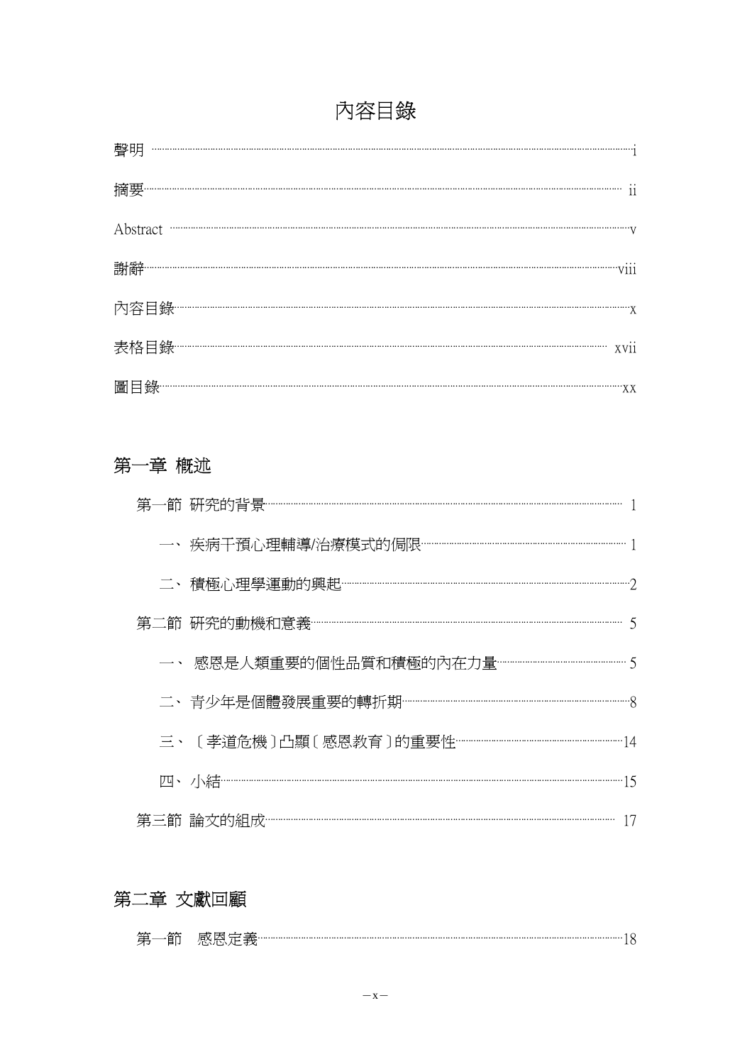# 內容目錄

# 第一章 概述

# 第二章 文獻回顧

| バケ |  |  |
|----|--|--|
|    |  |  |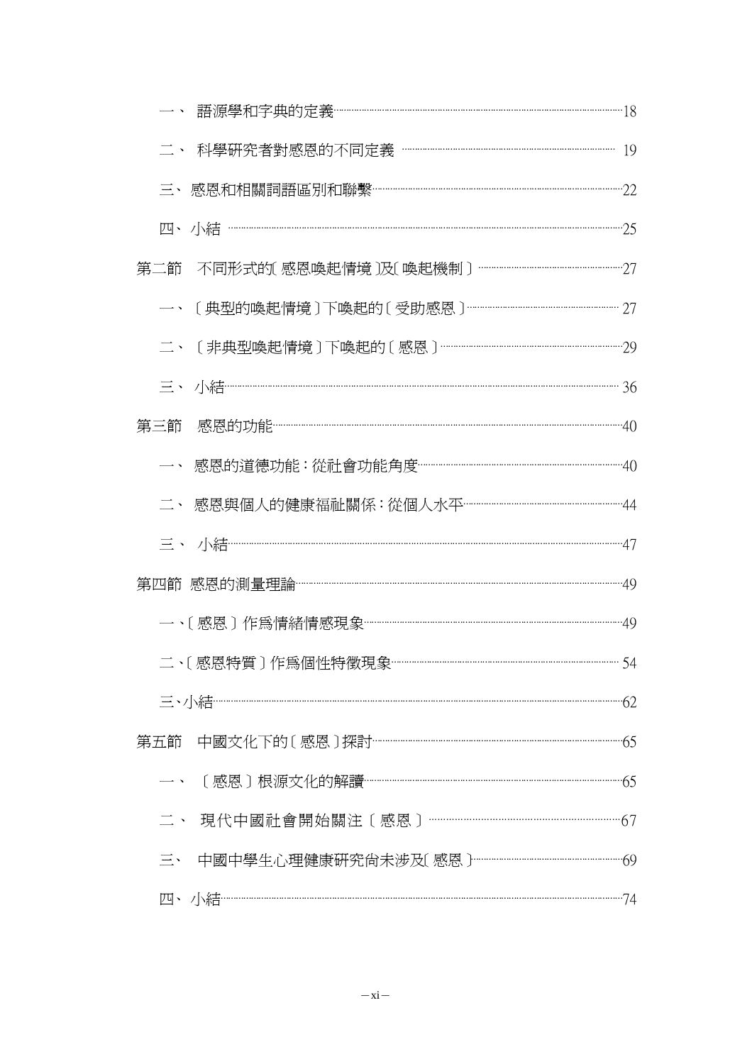|     | -、 語源學和字典的定義 <sup>………………………………………………………………………………………18</sup> |  |
|-----|-------------------------------------------------------------|--|
|     | 二、 科學研究者對感恩的不同定義 <sup>……………………………………………………………</sup> 19      |  |
|     |                                                             |  |
|     |                                                             |  |
|     |                                                             |  |
|     | 一、 〔典型的喚起情境〕下喚起的〔受助感恩〕………………………………………………… 27                |  |
|     |                                                             |  |
|     |                                                             |  |
| 第三節 |                                                             |  |
|     |                                                             |  |
|     |                                                             |  |
|     |                                                             |  |
|     |                                                             |  |
|     |                                                             |  |
|     | 二、〔感恩特質〕作爲個性特徵現象…………………………………………………………………………………54           |  |
|     |                                                             |  |
|     |                                                             |  |
|     |                                                             |  |
|     |                                                             |  |
|     | 三、 中國中學生心理健康研究尙未涉及〔感恩〕………………………………………………………69               |  |
|     |                                                             |  |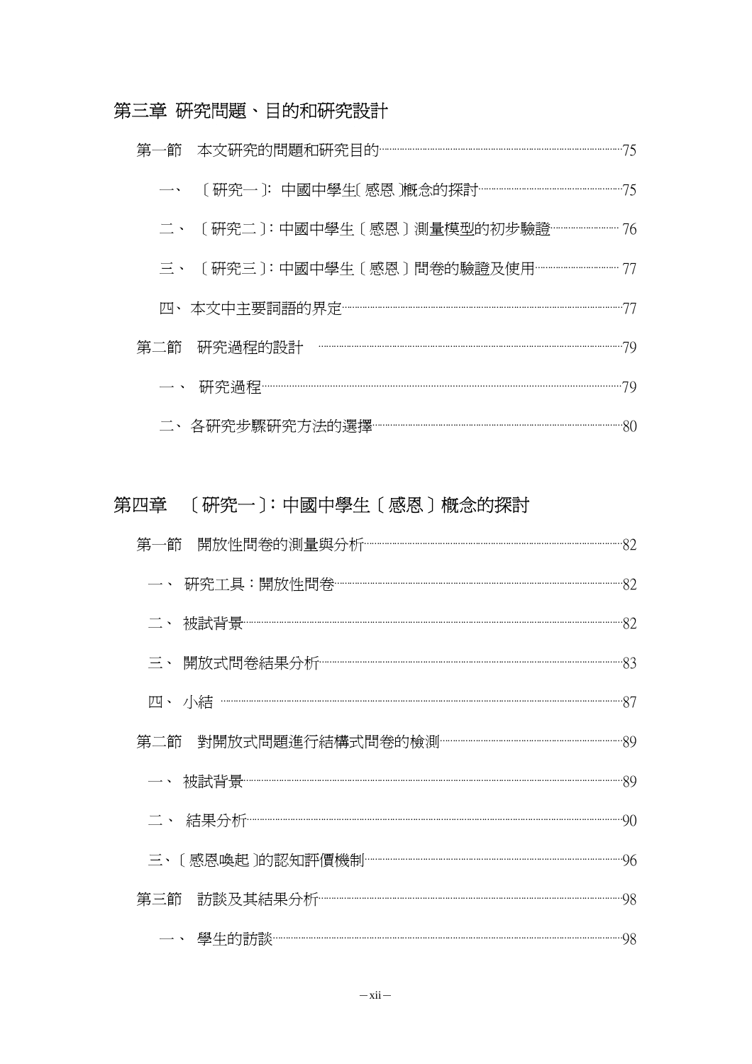# 第三章 研究問題、目的和研究設計

|  | 二、 〔研究二〕:中國中學生〔感恩〕測量模型的初步驗證…………………… 76   |  |
|--|------------------------------------------|--|
|  | 三、 〔研究三〕:中國中學生〔感恩〕問卷的驗證及使用…………………………… 77 |  |
|  |                                          |  |
|  |                                          |  |
|  |                                          |  |
|  |                                          |  |

# 第四章 〔研究一〕:中國中學生〔感恩〕概念的探討

| 一、研究工具:開放性問卷………………………………………………………………………………………82 |  |
|-------------------------------------------------|--|
|                                                 |  |
|                                                 |  |
|                                                 |  |
|                                                 |  |
|                                                 |  |
|                                                 |  |
|                                                 |  |
|                                                 |  |
|                                                 |  |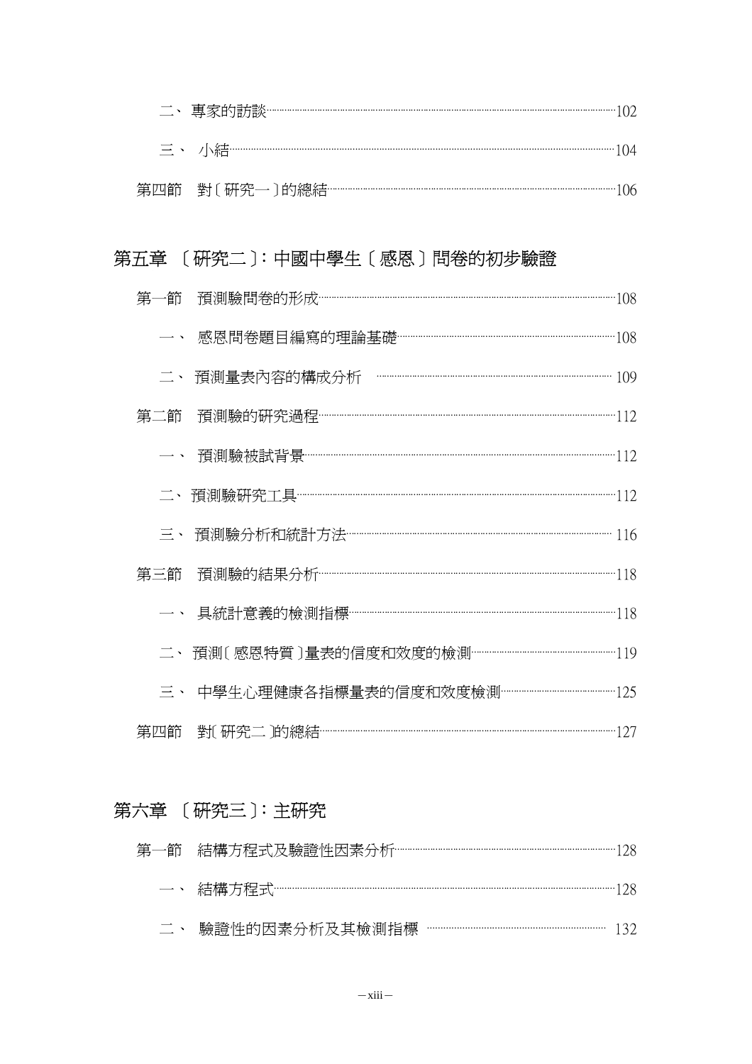| $\equiv \cdot$ / $\frac{1}{2}$ / $\frac{1}{2}$    |
|---------------------------------------------------|
| 第四節 對〔研究一〕的總結………………………………………………………………………………………106 |

# 第五章 [研究二]:中國中學生[感恩]問卷的初步驗證

| 第一節        | 預測驗問卷的形成………………………………………………………………………………………108    |  |
|------------|-------------------------------------------------|--|
|            |                                                 |  |
|            |                                                 |  |
| 第二節        |                                                 |  |
|            |                                                 |  |
|            | 二、預測驗研究工具……………………………………………………………………………………………112 |  |
| $\equiv$ , | 預測驗分析和統計方法………………………………………………………………………… 116      |  |
| 第三節        |                                                 |  |
|            | 具統計意義的檢測指標……………………………………………………………………………………118   |  |
| $\equiv$ . | 預測〔感恩特質〕量表的信度和效度的檢測…………………………………………………119       |  |
|            |                                                 |  |
| 第四節        | 對〔研究二〕的總結…………………………………………………………………………………………127  |  |

# 第六章 [研究三]:主研究

| 第一節 結構方程式及驗證性因素分析 …………………………………………………………………………………128 |  |
|------------------------------------------------------|--|
|                                                      |  |

二、 驗證性的因素分析及其檢測指標 …………………………………………… 132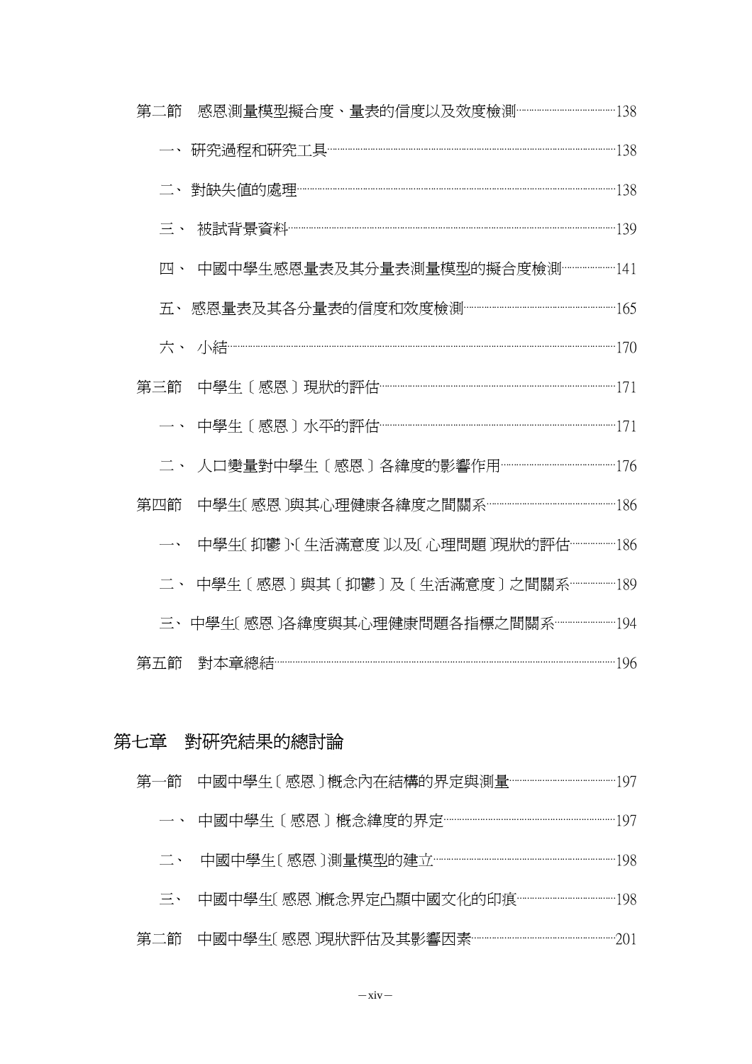| 第二節                      | 感恩測量模型擬合度、量表的信度以及效度檢測……………………………………138          |  |
|--------------------------|-------------------------------------------------|--|
|                          | 一、研究過程和研究工具………………………………………………………………………………………138 |  |
|                          |                                                 |  |
| 三、                       |                                                 |  |
| 四、                       | 中國中學生感恩量表及其分量表測量模型的擬合度檢測…………………141              |  |
| 五、                       |                                                 |  |
| 六、                       |                                                 |  |
| 第三節                      |                                                 |  |
| $\overline{\phantom{a}}$ |                                                 |  |
|                          | 人口變量對中學生〔感恩〕各緯度的影響作用…………………………………………176         |  |
| 第四節                      | 中學生〔感恩〕與其心理健康各緯度之間關系……………………………………………186        |  |
|                          | 中學生〔抑鬱〕〔生活滿意度〕以及〔心理問題〕現狀的評估……………186             |  |
|                          | 中學生〔感恩〕與其〔抑鬱〕及〔生活滿意度〕之間關系………………189              |  |
|                          | 三、中學生〔感恩〕各緯度與其心理健康問題各指標之間關系……………………194          |  |
| 第五節                      |                                                 |  |

# 第七章 對研究結果的總討論

|  | 第一節 中國中學生〔感恩〕概念內在結構的界定與測量……………………………………197  |
|--|---------------------------------------------|
|  | 一、 中國中學生〔感恩〕概念緯度的界定………………………………………………………197 |
|  |                                             |
|  | 三、 中國中學牛〔感恩〕概念界定凸顯中國文化的印痕……………………………………198  |
|  |                                             |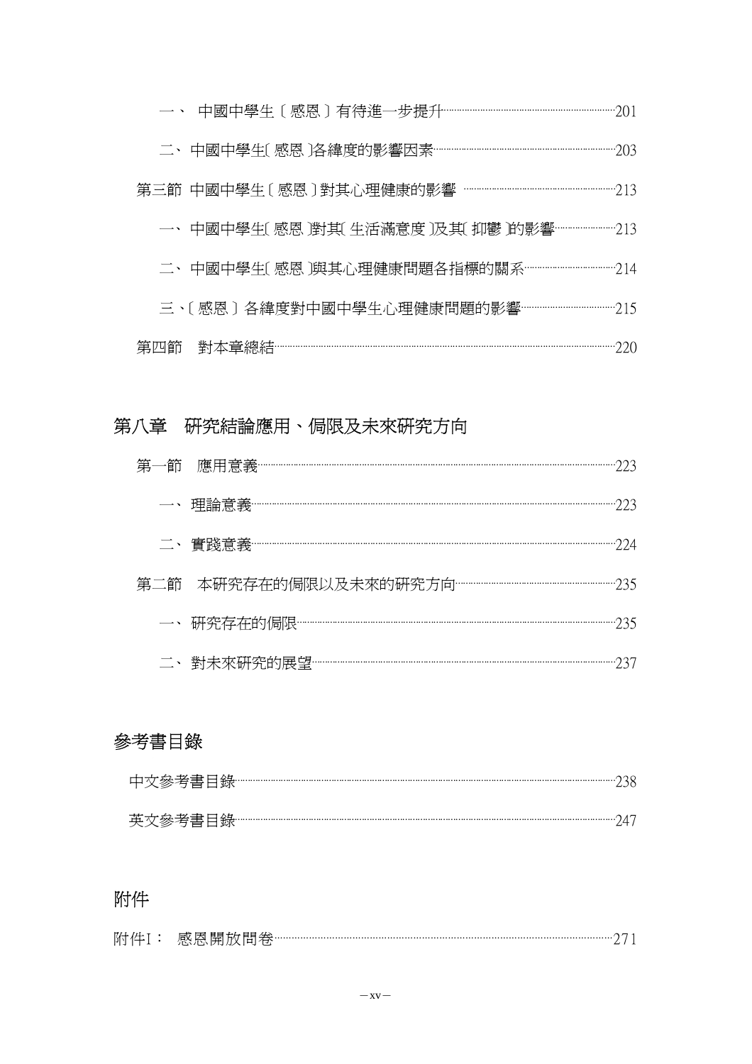| 一、中國中學生〔 感恩 )對其〔 生活滿意度 〕及其〔 抑鬱 )的影響………………………213 |  |
|-------------------------------------------------|--|
| 二、中國中學生〔 感恩 〕與其心理健康問題各指標的關系……………………………………… 214  |  |
| 三、〔感恩〕各緯度對中國中學生心理健康問題的影響………………………………………… 215    |  |
|                                                 |  |

# 第四節 對本章總結⋯⋯⋯⋯⋯⋯⋯⋯⋯⋯⋯⋯⋯⋯⋯⋯⋯⋯⋯⋯⋯⋯⋯⋯⋯⋯⋯⋯⋯⋯⋯⋯⋯⋯⋯⋯⋯⋯⋯⋯⋯⋯⋯⋯220

# 第八章 研究結論應用、侷限及未來研究方向

## 參考書目錄

| 中文參考書目錄 |  |
|---------|--|
| 英文參考書目錄 |  |

# 附件

| 附<br>$\mathbf{a}$ | . |  |
|-------------------|---|--|
| <b>.</b>          |   |  |